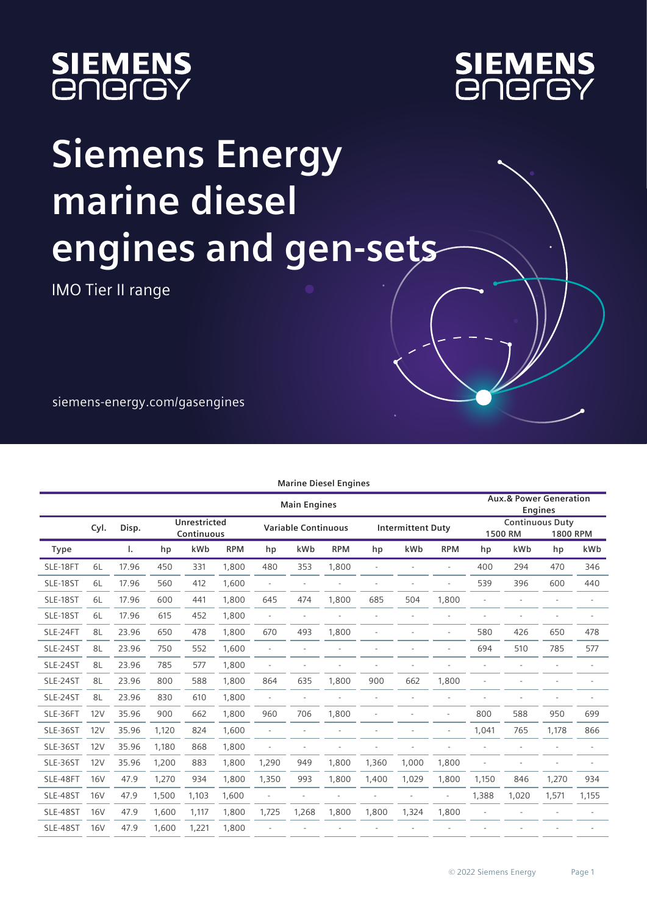



## **Siemens Energy marine diesel engines and gen-sets**

IMO Tier II range

siemens-energy.com/gasengines

| <b>Marine Diesel Engines</b> |            |       |       |                            |            |                          |                            |            |       |                          |                          |       |                                   |                 |       |
|------------------------------|------------|-------|-------|----------------------------|------------|--------------------------|----------------------------|------------|-------|--------------------------|--------------------------|-------|-----------------------------------|-----------------|-------|
|                              |            |       |       |                            |            |                          | <b>Main Engines</b>        |            |       |                          |                          |       | <b>Aux.&amp; Power Generation</b> | <b>Engines</b>  |       |
|                              | Cyl.       | Disp. |       | Unrestricted<br>Continuous |            |                          | <b>Variable Continuous</b> |            |       | <b>Intermittent Duty</b> |                          |       | <b>Continuous Duty</b><br>1500 RM | <b>1800 RPM</b> |       |
| <b>Type</b>                  |            | ı.    | hp    | kWb                        | <b>RPM</b> | hp                       | kWb                        | <b>RPM</b> | hp    | kWb                      | <b>RPM</b>               | hp    | kWb                               | hp              | kWb   |
| SLE-18FT                     | 6L         | 17.96 | 450   | 331                        | 1,800      | 480                      | 353                        | 1,800      | ä,    |                          | ä,                       | 400   | 294                               | 470             | 346   |
| SLE-18ST                     | 6L         | 17.96 | 560   | 412                        | 1,600      | ÷,                       | $\overline{\phantom{a}}$   |            |       | ÷.                       | $\sim$                   | 539   | 396                               | 600             | 440   |
| SLE-18ST                     | 6L         | 17.96 | 600   | 441                        | 1,800      | 645                      | 474                        | 1,800      | 685   | 504                      | 1,800                    |       |                                   |                 |       |
| SLE-18ST                     | 6L         | 17.96 | 615   | 452                        | 1,800      | ×.                       | ä,                         |            |       | $\sim$                   | ٠                        |       | ٠                                 |                 | ä,    |
| SLE-24FT                     | 8L         | 23.96 | 650   | 478                        | 1.800      | 670                      | 493                        | 1,800      |       |                          | $\sim$                   | 580   | 426                               | 650             | 478   |
| SLE-24ST                     | 8L         | 23.96 | 750   | 552                        | 1,600      | ٠                        |                            |            |       |                          | ä,                       | 694   | 510                               | 785             | 577   |
| SLE-24ST                     | 8L         | 23.96 | 785   | 577                        | 1,800      | ٠                        |                            |            |       |                          |                          |       |                                   |                 |       |
| SLE-24ST                     | 8L         | 23.96 | 800   | 588                        | 1,800      | 864                      | 635                        | 1,800      | 900   | 662                      | 1,800                    |       |                                   |                 |       |
| SLE-24ST                     | 8L         | 23.96 | 830   | 610                        | 1,800      | $\sim$                   | ä,                         |            | ä,    | ä,                       | ÷,                       |       |                                   |                 |       |
| SLE-36FT                     | 12V        | 35.96 | 900   | 662                        | 1.800      | 960                      | 706                        | 1,800      |       |                          |                          | 800   | 588                               | 950             | 699   |
| SLE-36ST                     | 12V        | 35.96 | 1,120 | 824                        | 1,600      |                          |                            |            |       |                          | ٠                        | 1,041 | 765                               | 1,178           | 866   |
| SLE-36ST                     | 12V        | 35.96 | 1,180 | 868                        | 1,800      | $\overline{\phantom{a}}$ |                            |            |       |                          | $\sim$                   |       | ٠                                 |                 |       |
| SLE-36ST                     | 12V        | 35.96 | 1,200 | 883                        | 1,800      | 1,290                    | 949                        | 1,800      | 1,360 | 1,000                    | 1,800                    |       |                                   |                 |       |
| SLE-48FT                     | <b>16V</b> | 47.9  | 1,270 | 934                        | 1,800      | 1,350                    | 993                        | 1,800      | 1,400 | 1,029                    | 1,800                    | 1,150 | 846                               | 1,270           | 934   |
| SLE-48ST                     | <b>16V</b> | 47.9  | 1,500 | 1,103                      | 1,600      | $\overline{\phantom{a}}$ |                            | ÷,         | ä,    | ÷,                       | $\overline{\phantom{a}}$ | 1,388 | 1,020                             | 1,571           | 1,155 |
| SLE-48ST                     | <b>16V</b> | 47.9  | 1,600 | 1,117                      | 1,800      | 1,725                    | 1,268                      | 1,800      | 1,800 | 1,324                    | 1,800                    |       |                                   |                 |       |
| SLE-48ST                     | <b>16V</b> | 47.9  | 1,600 | 1,221                      | 1,800      |                          |                            |            |       |                          |                          |       |                                   |                 |       |
|                              |            |       |       |                            |            |                          |                            |            |       |                          |                          |       |                                   |                 |       |